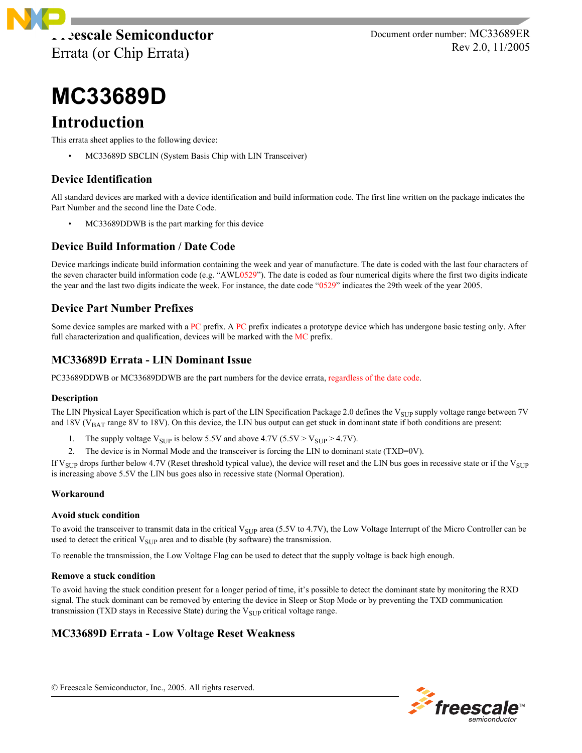

Document order number: MC33689ER Rev 2.0, 11/2005

# **MC33689D**

## **Introduction**

This errata sheet applies to the following device:

• MC33689D SBCLIN (System Basis Chip with LIN Transceiver)

## **Device Identification**

All standard devices are marked with a device identification and build information code. The first line written on the package indicates the Part Number and the second line the Date Code.

• MC33689DDWB is the part marking for this device

## **Device Build Information / Date Code**

Device markings indicate build information containing the week and year of manufacture. The date is coded with the last four characters of the seven character build information code (e.g. " $AWL0529$ "). The date is coded as four numerical digits where the first two digits indicate the year and the last two digits indicate the week. For instance, the date code "0529" indicates the 29th week of the year 2005.

## **Device Part Number Prefixes**

Some device samples are marked with a PC prefix. A PC prefix indicates a prototype device which has undergone basic testing only. After full characterization and qualification, devices will be marked with the MC prefix.

## **MC33689D Errata - LIN Dominant Issue**

PC33689DDWB or MC33689DDWB are the part numbers for the device errata, regardless of the date code.

## **Description**

The LIN Physical Layer Specification which is part of the LIN Specification Package 2.0 defines the V<sub>SUP</sub> supply voltage range between 7V and  $18V$  ( $V_{BAT}$  range  $8V$  to  $18V$ ). On this device, the LIN bus output can get stuck in dominant state if both conditions are present:

- 1. The supply voltage  $V_{\text{SUP}}$  is below 5.5V and above 4.7V (5.5V >  $V_{\text{SUP}}$  > 4.7V).
- 2. The device is in Normal Mode and the transceiver is forcing the LIN to dominant state (TXD=0V).

If  $V_{SIIP}$  drops further below 4.7V (Reset threshold typical value), the device will reset and the LIN bus goes in recessive state or if the  $V_{SIIP}$ is increasing above 5.5V the LIN bus goes also in recessive state (Normal Operation).

## **Workaround**

## **Avoid stuck condition**

To avoid the transceiver to transmit data in the critical  $V_{\text{SUP}}$  area (5.5V to 4.7V), the Low Voltage Interrupt of the Micro Controller can be used to detect the critical  $V_{\text{SUP}}$  area and to disable (by software) the transmission.

To reenable the transmission, the Low Voltage Flag can be used to detect that the supply voltage is back high enough.

## **Remove a stuck condition**

To avoid having the stuck condition present for a longer period of time, it's possible to detect the dominant state by monitoring the RXD signal. The stuck dominant can be removed by entering the device in Sleep or Stop Mode or by preventing the TXD communication transmission (TXD stays in Recessive State) during the  $V<sub>SUP</sub>$  critical voltage range.

## **MC33689D Errata - Low Voltage Reset Weakness**

© Freescale Semiconductor, Inc., 2005. All rights reserved.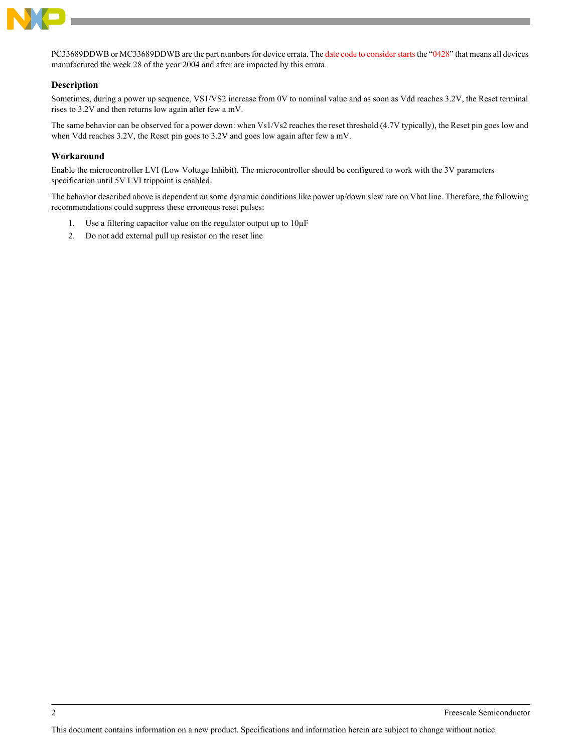

PC33689DDWB or MC33689DDWB are the part numbers for device errata. The date code to consider starts the "0428" that means all devices manufactured the week 28 of the year 2004 and after are impacted by this errata.

## **Description**

Sometimes, during a power up sequence, VS1/VS2 increase from 0V to nominal value and as soon as Vdd reaches 3.2V, the Reset terminal rises to 3.2V and then returns low again after few a mV.

The same behavior can be observed for a power down: when Vs1/Vs2 reaches the reset threshold (4.7V typically), the Reset pin goes low and when Vdd reaches 3.2V, the Reset pin goes to 3.2V and goes low again after few a mV.

## **Workaround**

Enable the microcontroller LVI (Low Voltage Inhibit). The microcontroller should be configured to work with the 3V parameters specification until 5V LVI trippoint is enabled.

The behavior described above is dependent on some dynamic conditions like power up/down slew rate on Vbat line. Therefore, the following recommendations could suppress these erroneous reset pulses:

- 1. Use a filtering capacitor value on the regulator output up to  $10\mu$ F
- 2. Do not add external pull up resistor on the reset line